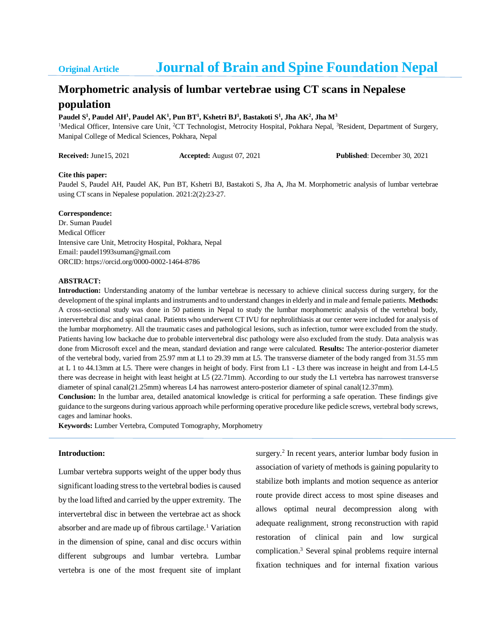## **Original Article Journal of Brain and Spine Foundation Nepal**

# **Morphometric analysis of lumbar vertebrae using CT scans in Nepalese**

### **population**

#### **Paudel S 1 , Paudel AH<sup>1</sup> , Paudel AK<sup>1</sup> , Pun BT 1 , Kshetri BJ<sup>1</sup> , Bastakoti S<sup>1</sup> , Jha AK<sup>2</sup> , Jha M<sup>3</sup>**

<sup>1</sup>Medical Officer, Intensive care Unit, <sup>2</sup>CT Technologist, Metrocity Hospital, Pokhara Nepal, <sup>3</sup>Resident, Department of Surgery, Manipal College of Medical Sciences, Pokhara, Nepal

**Received:** June15, 2021 **Accepted:** August 07, 2021 **Published**: December 30, 2021

#### **Cite this paper:**

Paudel S, Paudel AH, Paudel AK, Pun BT, Kshetri BJ, Bastakoti S, Jha A, Jha M. Morphometric analysis of lumbar vertebrae using CT scans in Nepalese population. 2021:2(2):23-27.

#### **Correspondence:**

Dr. Suman Paudel Medical Officer Intensive care Unit, Metrocity Hospital, Pokhara, Nepal Email: paudel1993suman@gmail.com ORCID: https://orcid.org/0000-0002-1464-8786

#### **ABSTRACT:**

**Introduction:** Understanding anatomy of the lumbar vertebrae is necessary to achieve clinical success during surgery, for the development of the spinal implants and instruments and to understand changes in elderly and in male and female patients. **Methods:** A cross-sectional study was done in 50 patients in Nepal to study the lumbar morphometric analysis of the vertebral body, intervertebral disc and spinal canal. Patients who underwent CT IVU for nephrolithiasis at our center were included for analysis of the lumbar morphometry. All the traumatic cases and pathological lesions, such as infection, tumor were excluded from the study. Patients having low backache due to probable intervertebral disc pathology were also excluded from the study. Data analysis was done from Microsoft excel and the mean, standard deviation and range were calculated. **Results:** The anterior-posterior diameter of the vertebral body, varied from 25.97 mm at L1 to 29.39 mm at L5. The transverse diameter of the body ranged from 31.55 mm at L 1 to 44.13mm at L5. There were changes in height of body. First from L1 - L3 there was increase in height and from L4-L5 there was decrease in height with least height at L5 (22.71mm). According to our study the L1 vertebra has narrowest transverse diameter of spinal canal(21.25mm) whereas L4 has narrowest antero-posterior diameter of spinal canal(12.37mm).

**Conclusion:** In the lumbar area, detailed anatomical knowledge is critical for performing a safe operation. These findings give guidance to the surgeons during various approach while performing operative procedure like pedicle screws, vertebral body screws, cages and laminar hooks.

**Keywords:** Lumber Vertebra, Computed Tomography, Morphometry

#### **Introduction:**

Lumbar vertebra supports weight of the upper body thus significant loading stress to the vertebral bodies is caused by the load lifted and carried by the upper extremity. The intervertebral disc in between the vertebrae act as shock absorber and are made up of fibrous cartilage.<sup>1</sup> Variation in the dimension of spine, canal and disc occurs within different subgroups and lumbar vertebra. Lumbar vertebra is one of the most frequent site of implant

surgery.<sup>2</sup> In recent years, anterior lumbar body fusion in association of variety of methods is gaining popularity to stabilize both implants and motion sequence as anterior route provide direct access to most spine diseases and allows optimal neural decompression along with adequate realignment, strong reconstruction with rapid restoration of clinical pain and low surgical complication.<sup>3</sup> Several spinal problems require internal fixation techniques and for internal fixation various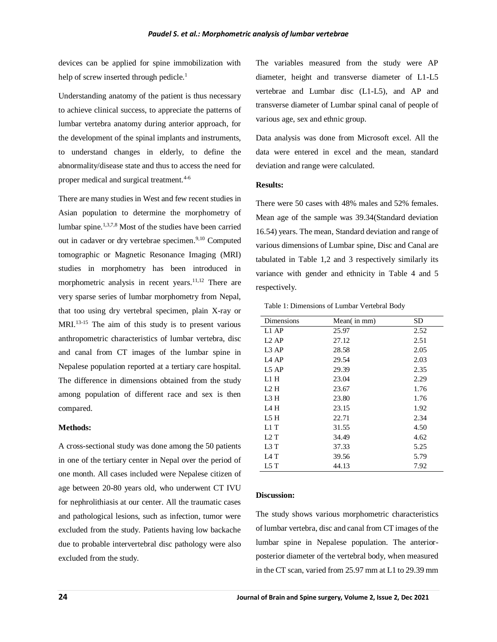devices can be applied for spine immobilization with help of screw inserted through pedicle.<sup>1</sup>

Understanding anatomy of the patient is thus necessary to achieve clinical success, to appreciate the patterns of lumbar vertebra anatomy during anterior approach, for the development of the spinal implants and instruments, to understand changes in elderly, to define the abnormality/disease state and thus to access the need for proper medical and surgical treatment.<sup>4-6</sup>

There are many studies in West and few recent studies in Asian population to determine the morphometry of lumbar spine.<sup>1,3,7,8</sup> Most of the studies have been carried out in cadaver or dry vertebrae specimen.<sup>9,10</sup> Computed tomographic or Magnetic Resonance Imaging (MRI) studies in morphometry has been introduced in morphometric analysis in recent years.<sup>11,12</sup> There are very sparse series of lumbar morphometry from Nepal, that too using dry vertebral specimen, plain X-ray or  $MRI$ <sup>13-15</sup>. The aim of this study is to present various anthropometric characteristics of lumbar vertebra, disc and canal from CT images of the lumbar spine in Nepalese population reported at a tertiary care hospital. The difference in dimensions obtained from the study among population of different race and sex is then compared.

#### **Methods:**

A cross-sectional study was done among the 50 patients in one of the tertiary center in Nepal over the period of one month. All cases included were Nepalese citizen of age between 20-80 years old, who underwent CT IVU for nephrolithiasis at our center. All the traumatic cases and pathological lesions, such as infection, tumor were excluded from the study. Patients having low backache due to probable intervertebral disc pathology were also excluded from the study.

The variables measured from the study were AP diameter, height and transverse diameter of L1-L5 vertebrae and Lumbar disc (L1-L5), and AP and transverse diameter of Lumbar spinal canal of people of various age, sex and ethnic group.

Data analysis was done from Microsoft excel. All the data were entered in excel and the mean, standard deviation and range were calculated.

#### **Results:**

There were 50 cases with 48% males and 52% females. Mean age of the sample was 39.34(Standard deviation 16.54) years. The mean, Standard deviation and range of various dimensions of Lumbar spine, Disc and Canal are tabulated in Table 1,2 and 3 respectively similarly its variance with gender and ethnicity in Table 4 and 5 respectively.

Table 1: Dimensions of Lumbar Vertebral Body

| Dimensions        | Mean(in mm) | <b>SD</b> |
|-------------------|-------------|-----------|
| L1 AP             | 25.97       | 2.52      |
| $L2$ AP           | 27.12       | 2.51      |
| L <sub>3</sub> AP | 28.58       | 2.05      |
| L4 AP             | 29.54       | 2.03      |
| L5AP              | 29.39       | 2.35      |
| L1 H              | 23.04       | 2.29      |
| L2 H              | 23.67       | 1.76      |
| L3 H              | 23.80       | 1.76      |
| L4 H              | 23.15       | 1.92      |
| L5 H              | 22.71       | 2.34      |
| L1T               | 31.55       | 4.50      |
| L2 T              | 34.49       | 4.62      |
| L3 T              | 37.33       | 5.25      |
| L4 T              | 39.56       | 5.79      |
| L5 T              | 44.13       | 7.92      |

#### **Discussion:**

The study shows various morphometric characteristics of lumbar vertebra, disc and canal from CT images of the lumbar spine in Nepalese population. The anteriorposterior diameter of the vertebral body, when measured in the CT scan, varied from 25.97 mm at L1 to 29.39 mm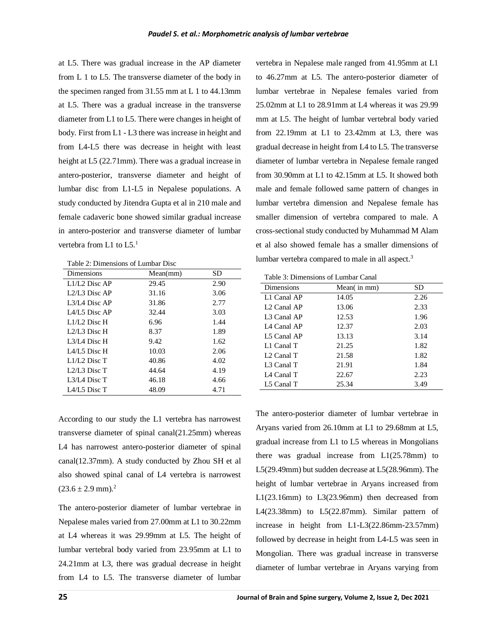at L5. There was gradual increase in the AP diameter from L 1 to L5. The transverse diameter of the body in the specimen ranged from 31.55 mm at L 1 to 44.13mm at L5. There was a gradual increase in the transverse diameter from L1 to L5. There were changes in height of body. First from L1 - L3 there was increase in height and from L4-L5 there was decrease in height with least height at L5 (22.71mm). There was a gradual increase in antero-posterior, transverse diameter and height of lumbar disc from L1-L5 in Nepalese populations. A study conducted by Jitendra Gupta et al in 210 male and female cadaveric bone showed similar gradual increase in antero-posterior and transverse diameter of lumbar vertebra from L1 to L5.<sup>1</sup>

Table 2: Dimensions of Lumbar Disc

| Dimensions        | Mean(mm) | SD   |
|-------------------|----------|------|
| $L1/L2$ Disc AP   | 29.45    | 2.90 |
| $1.2/1.3$ Disc AP | 31.16    | 3.06 |
| $1.3/1A$ Disc AP  | 31.86    | 2.77 |
| $IA/IA$ Disc AP   | 32.44    | 3.03 |
| $1.1/1.2$ Disc H  | 6.96     | 1.44 |
| $1.2/1.3$ Disc H  | 8.37     | 1.89 |
| L3/L4 Disc H      | 9.42     | 1.62 |
| $IA/IA$ Disc H    | 10.03    | 2.06 |
| $L1/L2$ Disc T    | 40.86    | 4.02 |
| $1.2/1.3$ Disc T  | 44.64    | 4.19 |
| $1.3/1A$ Disc T   | 46.18    | 4.66 |
| $IA/IA$ Disc T    | 48.09    | 4.71 |

According to our study the L1 vertebra has narrowest transverse diameter of spinal canal(21.25mm) whereas L4 has narrowest antero-posterior diameter of spinal canal(12.37mm). A study conducted by Zhou SH et al also showed spinal canal of L4 vertebra is narrowest  $(23.6 \pm 2.9 \text{ mm})$ .<sup>2</sup>

The antero-posterior diameter of lumbar vertebrae in Nepalese males varied from 27.00mm at L1 to 30.22mm at L4 whereas it was 29.99mm at L5. The height of lumbar vertebral body varied from 23.95mm at L1 to 24.21mm at L3, there was gradual decrease in height from L4 to L5. The transverse diameter of lumbar

vertebra in Nepalese male ranged from 41.95mm at L1 to 46.27mm at L5. The antero-posterior diameter of lumbar vertebrae in Nepalese females varied from 25.02mm at L1 to 28.91mm at L4 whereas it was 29.99 mm at L5. The height of lumbar vertebral body varied from 22.19mm at L1 to 23.42mm at L3, there was gradual decrease in height from L4 to L5. The transverse diameter of lumbar vertebra in Nepalese female ranged from 30.90mm at L1 to 42.15mm at L5. It showed both male and female followed same pattern of changes in lumbar vertebra dimension and Nepalese female has smaller dimension of vertebra compared to male. A cross-sectional study conducted by Muhammad M Alam et al also showed female has a smaller dimensions of lumbar vertebra compared to male in all aspect.<sup>3</sup>

| Table 3: Dimensions of Lumbar Canal |  |
|-------------------------------------|--|
|                                     |  |

| Mean(in mm) | SD   |
|-------------|------|
| 14.05       | 2.26 |
| 13.06       | 2.33 |
| 12.53       | 1.96 |
| 12.37       | 2.03 |
| 13.13       | 3.14 |
| 21.25       | 1.82 |
| 21.58       | 1.82 |
| 21.91       | 1.84 |
| 22.67       | 2.23 |
| 25.34       | 3.49 |
|             |      |

The antero-posterior diameter of lumbar vertebrae in Aryans varied from 26.10mm at L1 to 29.68mm at L5, gradual increase from L1 to L5 whereas in Mongolians there was gradual increase from L1(25.78mm) to L5(29.49mm) but sudden decrease at L5(28.96mm). The height of lumbar vertebrae in Aryans increased from L1(23.16mm) to L3(23.96mm) then decreased from L4(23.38mm) to L5(22.87mm). Similar pattern of increase in height from L1-L3(22.86mm-23.57mm) followed by decrease in height from L4-L5 was seen in Mongolian. There was gradual increase in transverse diameter of lumbar vertebrae in Aryans varying from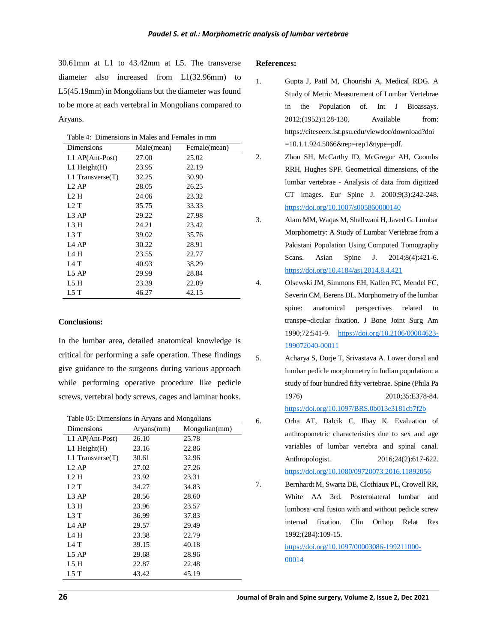30.61mm at L1 to 43.42mm at L5. The transverse diameter also increased from L1(32.96mm) to L5(45.19mm) in Mongolians but the diameter was found to be more at each vertebral in Mongolians compared to Aryans.

Table 4: Dimensions in Males and Females in mm

| Dimensions        | Male(mean) | Female(mean) |
|-------------------|------------|--------------|
| L1 AP(Ant-Post)   | 27.00      | 25.02        |
| $L1$ Height $(H)$ | 23.95      | 22.19        |
| L1 Transverse(T)  | 32.25      | 30.90        |
| $L2$ AP           | 28.05      | 26.25        |
| L2 H              | 24.06      | 23.32        |
| L2 T              | 35.75      | 33.33        |
| L3 AP             | 29.22      | 27.98        |
| L3 H              | 24.21      | 23.42        |
| L3 T              | 39.02      | 35.76        |
| L <sub>4</sub> AP | 30.22      | 28.91        |
| L4 H              | 23.55      | 22.77        |
| L4 T              | 40.93      | 38.29        |
| L5 AP             | 29.99      | 28.84        |
| L5 H              | 23.39      | 22.09        |
| 1.5 T             | 46.27      | 42.15        |

#### **Conclusions:**

In the lumbar area, detailed anatomical knowledge is critical for performing a safe operation. These findings give guidance to the surgeons during various approach while performing operative procedure like pedicle screws, vertebral body screws, cages and laminar hooks.

Table 05: Dimensions in Aryans and Mongolians

| Dimensions            | Aryans(mm) | Mongolian(mm) |
|-----------------------|------------|---------------|
| L1 AP(Ant-Post)       | 26.10      | 25.78         |
| $L1$ Height $(H)$     | 23.16      | 22.86         |
| $L1$ Transverse $(T)$ | 30.61      | 32.96         |
| L <sub>2</sub> AP     | 27.02      | 27.26         |
| L2 H                  | 23.92      | 23.31         |
| L2T                   | 34.27      | 34.83         |
| L3AP                  | 28.56      | 28.60         |
| L3 H                  | 23.96      | 23.57         |
| L3 T                  | 36.99      | 37.83         |
| L <sub>4</sub> AP     | 29.57      | 29.49         |
| L4 H                  | 23.38      | 22.79         |
| L4 T                  | 39.15      | 40.18         |
| L5AP                  | 29.68      | 28.96         |
| L5 H                  | 22.87      | 22.48         |
| L5 T                  | 43.42      | 45.19         |
|                       |            |               |

#### **References:**

- 1. Gupta J, Patil M, Chourishi A, Medical RDG. A Study of Metric Measurement of Lumbar Vertebrae in the Population of. Int J Bioassays. 2012;(1952):128-130. Available from: https://citeseerx.ist.psu.edu/viewdoc/download?doi =10.1.1.924.5066&rep=rep1&type=pdf.
- 2. Zhou SH, McCarthy ID, McGregor AH, Coombs RRH, Hughes SPF. Geometrical dimensions, of the lumbar vertebrae - Analysis of data from digitized CT images. Eur Spine J. 2000;9(3):242-248. <https://doi.org/10.1007/s005860000140>
- 3. Alam MM, Waqas M, Shallwani H, Javed G. Lumbar Morphometry: A Study of Lumbar Vertebrae from a Pakistani Population Using Computed Tomography Scans. Asian Spine J. 2014;8(4):421-6. <https://doi.org/10.4184/asj.2014.8.4.421>
- 4. Olsewski JM, Simmons EH, Kallen FC, Mendel FC, Severin CM, Berens DL. Morphometry of the lumbar spine: anatomical perspectives related to transpe¬dicular fixation. J Bone Joint Surg Am 1990;72:541-9. [https://doi.org/10.2106/00004623-](https://doi.org/10.2106/00004623-199072040-00011) [199072040-00011](https://doi.org/10.2106/00004623-199072040-00011)

5. Acharya S, Dorje T, Srivastava A. Lower dorsal and lumbar pedicle morphometry in Indian population: a study of four hundred fifty vertebrae. Spine (Phila Pa 1976) 2010;35:E378-84. <https://doi.org/10.1097/BRS.0b013e3181cb7f2b>

- 6. Orha AT, Dalcik C, Ilbay K. Evaluation of anthropometric characteristics due to sex and age variables of lumbar vertebra and spinal canal. Anthropologist. 2016;24(2):617-622. <https://doi.org/10.1080/09720073.2016.11892056>
- 7. Bernhardt M, Swartz DE, Clothiaux PL, Crowell RR, White AA 3rd. Posterolateral lumbar and lumbosa¬cral fusion with and without pedicle screw internal fixation. Clin Orthop Relat Res 1992;(284):109-15.

[https://doi.org/10.1097/00003086-199211000-](https://doi.org/10.1097/00003086-199211000-00014) [00014](https://doi.org/10.1097/00003086-199211000-00014)